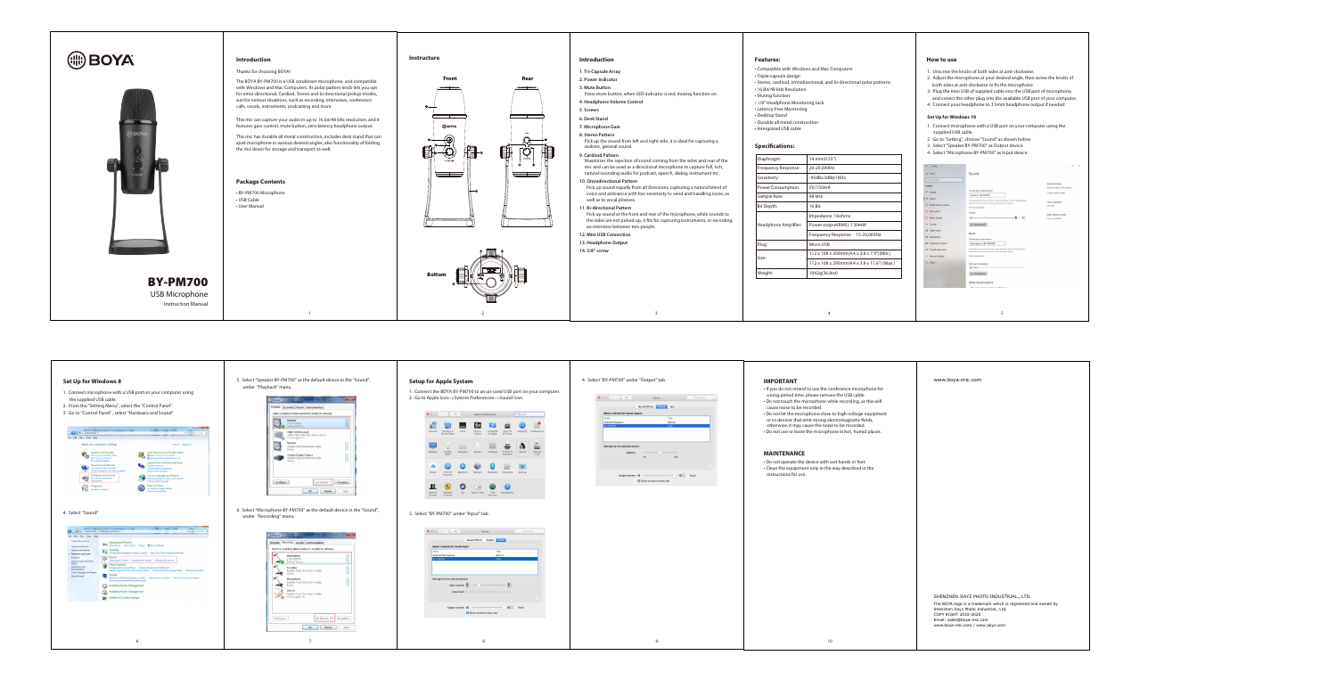# **IMPORTANT**

- If you do not intend to use the conference microphone for a long period time, please remove the USB cable.
- Do not touch the microphone while recording, as this will cause noise to be recorded.
- Do not let the microphone close to high-voltage equipment or to devices that emit strong electromagnetic fields, otherwise, it may cause the noise to be recorded.
- Do not use or leave the microphone in hot, humid places.



- Compatible with Windows and Mac Computers
- Triple-capsule design
- Stereo, cardioid, omnidirectional, and bi-directional polar patterns
- 16 Bit/48 kHz Resolution
- Muting function
- 1/8" Headphone Monitoring Jack • Latency-Free Monitoring
- Desktop Stand
- Durable all metal construction
- Intergrated USB cable

# **Specifications:**

- 1. Connect microphone with a USB port on your computer using the supplied USB cable.
- 2. Go to "Setting", choose "Sound" as shown below.
- 3. Select "Speaker BY-PM700" as Output device.
- 4. Select "Microphone BY-PM700" as Input device.







- 1. Unscrew the knobs of both sides at anti-clockwise.
- 2. Adjust the microphone at your desired angle, then screw the knobs of both sides at anti-clockwise to fix the microphone.
- 3. Plug the mini USB of supplied cable into the USB port of microphone,
- and conect the other plug into the available USB prot of your computor.
- 4. Connect your headphone to 3.5mm headphone output if needed.

### **Set Up for Windows 10**

| Diaphragm:                | 14 mm(0.55")                                           |  |  |
|---------------------------|--------------------------------------------------------|--|--|
| Frequency Response:       | 20-20,000Hz                                            |  |  |
| Sensitivity:              | -45dB±3dB@1KHz                                         |  |  |
| <b>Power Consumption:</b> | 5V/150mA                                               |  |  |
| Sample Rate:              | 48 kHz                                                 |  |  |
| Bit Depth:                | 16 Bit                                                 |  |  |
| Headphone Amplifier:      | Impedance: 16ohms                                      |  |  |
|                           | Power output(RMS): 130mW                               |  |  |
|                           | Frequency Response: 15-20,000Hz                        |  |  |
| Plug:                     | Micro USB                                              |  |  |
| Size:                     | $112 \times 108 \times 200$ mm(4.4 x 3.8 x 7.9")(Min.) |  |  |
|                           | 112 x 108 x 295mm(4.4 x 3.8 x 11.6") (Max.)            |  |  |
| Weight:                   | 1042q(36.8oz)                                          |  |  |

- **1. Tri-Capsule Array**
- **2. Power Indicator**
- **3. Mute Button** Press mute button, when LED indicator is red, muting function on.
- **4. Headphone Volume Control**
- **5. Screws**
- **6. Desk Stand**
- **7. Microphone Gain**
- **8. Stereo Pattern**
- Pick up the sound from left and right side, it is ideal for capturing a realistic, general sound.
- **9. Cardioid Pattern**
- Maximizes the rejection of sound coming from the sides and rear of the mic and can be used as a directional microphone to capture full, rich, natural-sounding audio for podcast, speech, dialog, instrument etc.
- **10. Omnidirectional Pattern** Pick up sound equally from all directions, capturing a natural blend of voice and ambiance with low sensitivity to wind and handling noise, as well as to vocal plosives.
- **11. Bi-directional Pattern** Pick up sound at the front and rear of the microphone, while sounds to the sides are not picked up, it fits for capturing instruments, or recording an interview between two people.
- **12. Mini USB Connection**
- **13. Headphone Output**
- **14. 5/8" screw**

• Do not operate the device with wet hands or feet. • Clean the equipment only in the way described in the instructions for use.

### **MAINTENANCE**

| www.boya-mic.com                                                                                        |
|---------------------------------------------------------------------------------------------------------|
|                                                                                                         |
|                                                                                                         |
|                                                                                                         |
|                                                                                                         |
|                                                                                                         |
|                                                                                                         |
|                                                                                                         |
|                                                                                                         |
|                                                                                                         |
|                                                                                                         |
|                                                                                                         |
|                                                                                                         |
|                                                                                                         |
|                                                                                                         |
|                                                                                                         |
|                                                                                                         |
|                                                                                                         |
|                                                                                                         |
|                                                                                                         |
|                                                                                                         |
|                                                                                                         |
|                                                                                                         |
| SHENZHEN JIAYZ PHOTO INDUSTRIAL., LTD.                                                                  |
| The BOYA logo is a trademark which is registered and owned by<br>Shenzhen Jiayz Photo Industrial., Ltd. |
| COPY RIGHT 2010-2020<br>Email: sales@boya-mic.com                                                       |
| www.boya-mic.com / www.jiayz.com                                                                        |
|                                                                                                         |